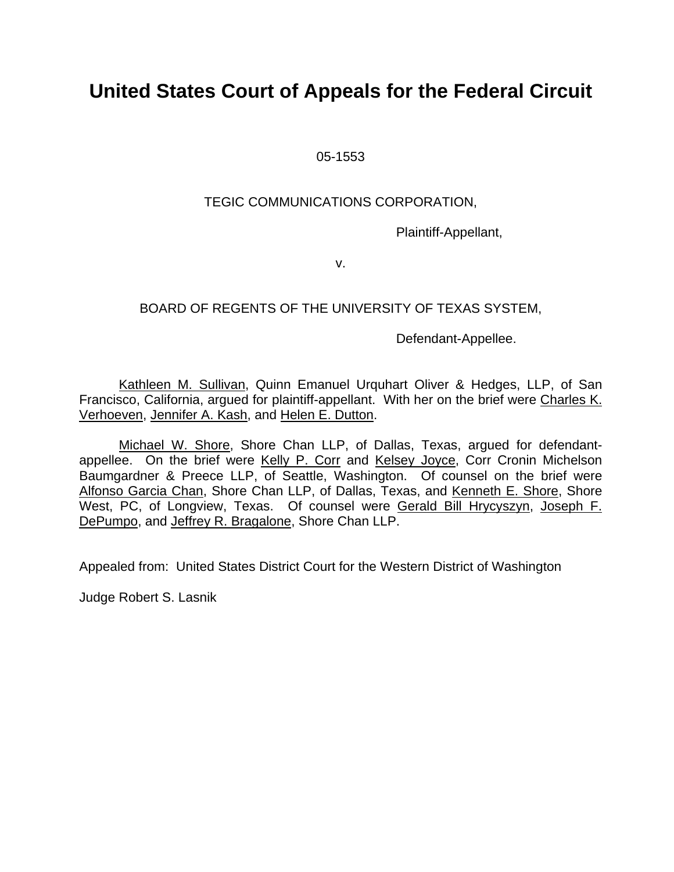# **United States Court of Appeals for the Federal Circuit**

05-1553

## TEGIC COMMUNICATIONS CORPORATION,

Plaintiff-Appellant,

v.

## BOARD OF REGENTS OF THE UNIVERSITY OF TEXAS SYSTEM,

Defendant-Appellee.

Kathleen M. Sullivan, Quinn Emanuel Urquhart Oliver & Hedges, LLP, of San Francisco, California, argued for plaintiff-appellant. With her on the brief were Charles K. Verhoeven, Jennifer A. Kash, and Helen E. Dutton.

Michael W. Shore, Shore Chan LLP, of Dallas, Texas, argued for defendantappellee. On the brief were Kelly P. Corr and Kelsey Joyce, Corr Cronin Michelson Baumgardner & Preece LLP, of Seattle, Washington. Of counsel on the brief were Alfonso Garcia Chan, Shore Chan LLP, of Dallas, Texas, and Kenneth E. Shore, Shore West, PC, of Longview, Texas. Of counsel were Gerald Bill Hrycyszyn, Joseph F. DePumpo, and Jeffrey R. Bragalone, Shore Chan LLP.

Appealed from: United States District Court for the Western District of Washington

Judge Robert S. Lasnik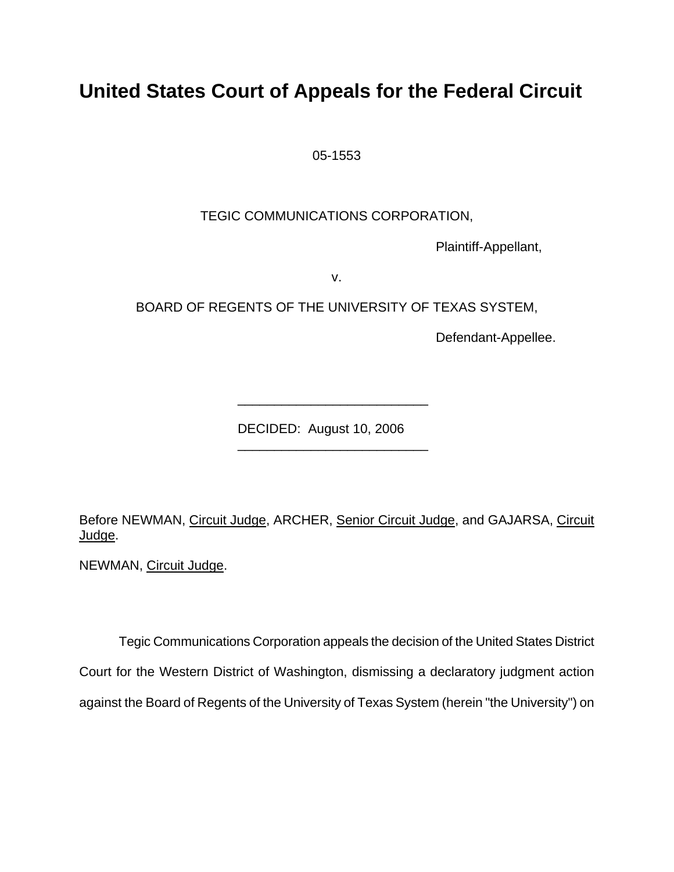# **United States Court of Appeals for the Federal Circuit**

05-1553

TEGIC COMMUNICATIONS CORPORATION,

Plaintiff-Appellant,

v.

BOARD OF REGENTS OF THE UNIVERSITY OF TEXAS SYSTEM,

Defendant-Appellee.

DECIDED: August 10, 2006

\_\_\_\_\_\_\_\_\_\_\_\_\_\_\_\_\_\_\_\_\_\_\_\_\_\_

\_\_\_\_\_\_\_\_\_\_\_\_\_\_\_\_\_\_\_\_\_\_\_\_\_\_

Before NEWMAN, Circuit Judge, ARCHER, Senior Circuit Judge, and GAJARSA, Circuit Judge.

NEWMAN, Circuit Judge.

Tegic Communications Corporation appeals the decision of the United States District Court for the Western District of Washington, dismissing a declaratory judgment action against the Board of Regents of the University of Texas System (herein "the University") on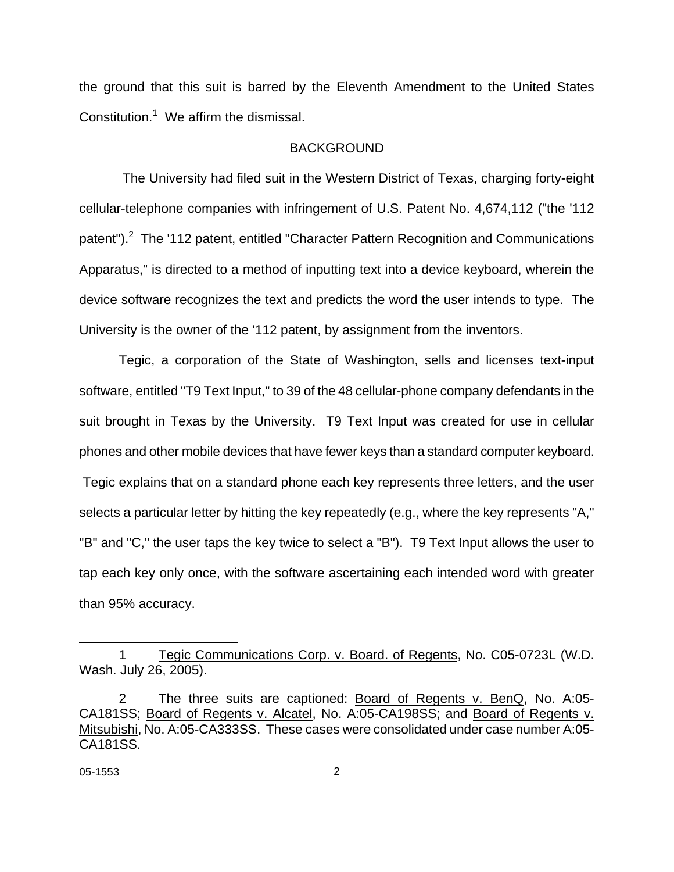the ground that this suit is barred by the Eleventh Amendment to the United States Constitution.<sup>[1](#page-2-0)</sup> We affirm the dismissal.

#### **BACKGROUND**

 The University had filed suit in the Western District of Texas, charging forty-eight cellular-telephone companies with infringement of U.S. Patent No. 4,674,112 ("the '112 patent"). $2$  The '112 patent, entitled "Character Pattern Recognition and Communications Apparatus," is directed to a method of inputting text into a device keyboard, wherein the device software recognizes the text and predicts the word the user intends to type. The University is the owner of the '112 patent, by assignment from the inventors.

Tegic, a corporation of the State of Washington, sells and licenses text-input software, entitled "T9 Text Input," to 39 of the 48 cellular-phone company defendants in the suit brought in Texas by the University. T9 Text Input was created for use in cellular phones and other mobile devices that have fewer keys than a standard computer keyboard. Tegic explains that on a standard phone each key represents three letters, and the user selects a particular letter by hitting the key repeatedly  $(\underline{e}.q.$ , where the key represents "A," "B" and "C," the user taps the key twice to select a "B"). T9 Text Input allows the user to tap each key only once, with the software ascertaining each intended word with greater than 95% accuracy.

<span id="page-2-0"></span>l

<sup>1</sup> Tegic Communications Corp. v. Board. of Regents, No. C05-0723L (W.D. Wash. July 26, 2005).

<span id="page-2-1"></span><sup>2</sup> The three suits are captioned: Board of Regents v. BenQ, No. A:05- CA181SS; Board of Regents v. Alcatel, No. A:05-CA198SS; and Board of Regents v. Mitsubishi, No. A:05-CA333SS. These cases were consolidated under case number A:05- CA181SS.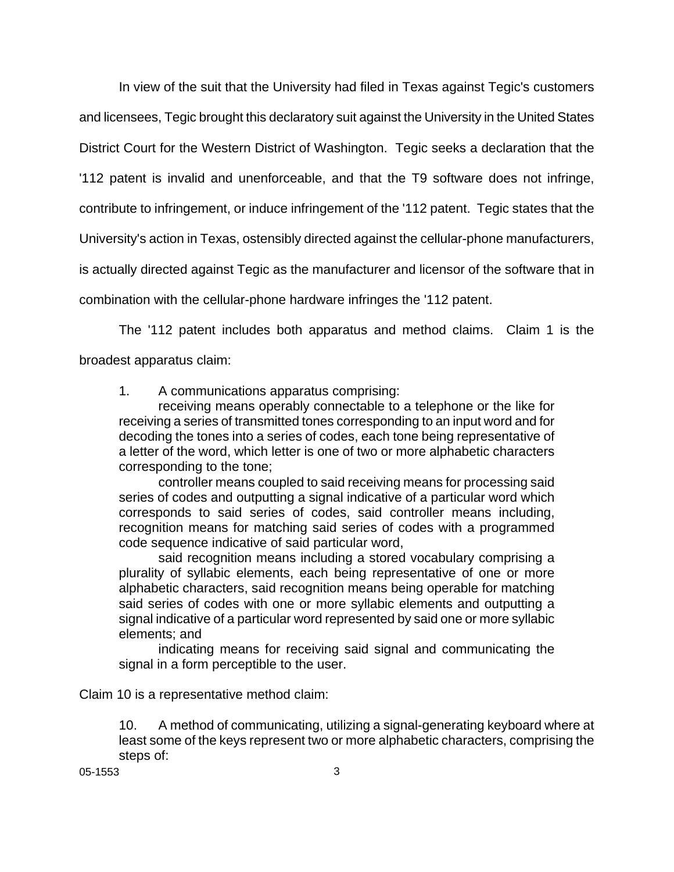In view of the suit that the University had filed in Texas against Tegic's customers and licensees, Tegic brought this declaratory suit against the University in the United States District Court for the Western District of Washington. Tegic seeks a declaration that the '112 patent is invalid and unenforceable, and that the T9 software does not infringe, contribute to infringement, or induce infringement of the '112 patent. Tegic states that the University's action in Texas, ostensibly directed against the cellular-phone manufacturers, is actually directed against Tegic as the manufacturer and licensor of the software that in combination with the cellular-phone hardware infringes the '112 patent.

The '112 patent includes both apparatus and method claims. Claim 1 is the broadest apparatus claim:

1. A communications apparatus comprising:

receiving means operably connectable to a telephone or the like for receiving a series of transmitted tones corresponding to an input word and for decoding the tones into a series of codes, each tone being representative of a letter of the word, which letter is one of two or more alphabetic characters corresponding to the tone;

controller means coupled to said receiving means for processing said series of codes and outputting a signal indicative of a particular word which corresponds to said series of codes, said controller means including, recognition means for matching said series of codes with a programmed code sequence indicative of said particular word,

said recognition means including a stored vocabulary comprising a plurality of syllabic elements, each being representative of one or more alphabetic characters, said recognition means being operable for matching said series of codes with one or more syllabic elements and outputting a signal indicative of a particular word represented by said one or more syllabic elements; and

indicating means for receiving said signal and communicating the signal in a form perceptible to the user.

Claim 10 is a representative method claim:

10. A method of communicating, utilizing a signal-generating keyboard where at least some of the keys represent two or more alphabetic characters, comprising the steps of:

05-1553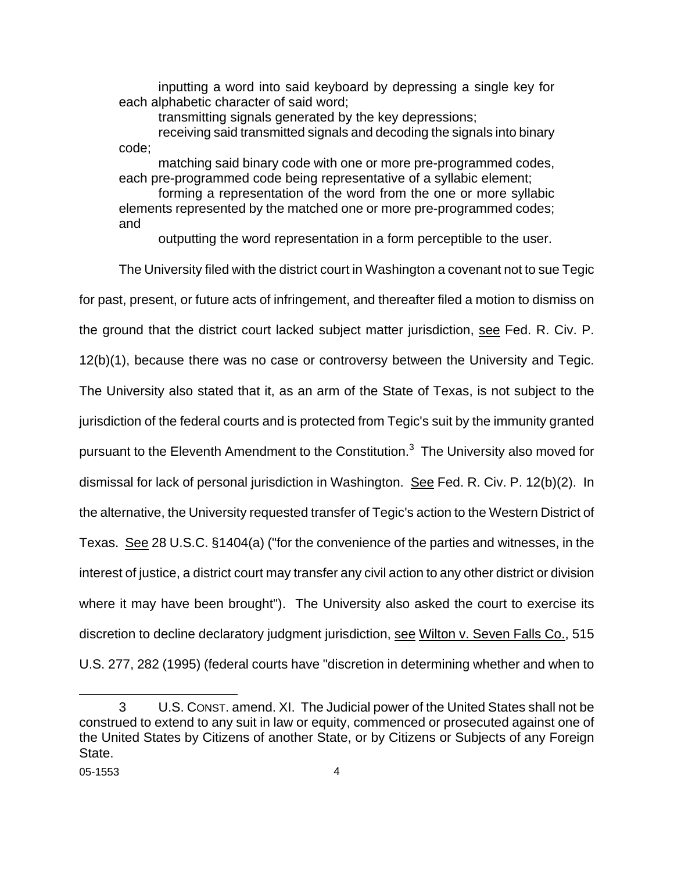inputting a word into said keyboard by depressing a single key for each alphabetic character of said word;

transmitting signals generated by the key depressions;

receiving said transmitted signals and decoding the signals into binary code;

matching said binary code with one or more pre-programmed codes, each pre-programmed code being representative of a syllabic element;

forming a representation of the word from the one or more syllabic elements represented by the matched one or more pre-programmed codes; and

outputting the word representation in a form perceptible to the user.

The University filed with the district court in Washington a covenant not to sue Tegic for past, present, or future acts of infringement, and thereafter filed a motion to dismiss on the ground that the district court lacked subject matter jurisdiction, see Fed. R. Civ. P. 12(b)(1), because there was no case or controversy between the University and Tegic. The University also stated that it, as an arm of the State of Texas, is not subject to the jurisdiction of the federal courts and is protected from Tegic's suit by the immunity granted pursuant to the Eleventh Amendment to the Constitution.<sup>[3](#page-4-0)</sup> The University also moved for dismissal for lack of personal jurisdiction in Washington. See Fed. R. Civ. P. 12(b)(2). In the alternative, the University requested transfer of Tegic's action to the Western District of Texas. See 28 U.S.C. §1404(a) ("for the convenience of the parties and witnesses, in the interest of justice, a district court may transfer any civil action to any other district or division where it may have been brought"). The University also asked the court to exercise its discretion to decline declaratory judgment jurisdiction, see Wilton v. Seven Falls Co., 515 U.S. 277, 282 (1995) (federal courts have "discretion in determining whether and when to

<span id="page-4-0"></span>l

<sup>3</sup> U.S. CONST. amend. XI. The Judicial power of the United States shall not be construed to extend to any suit in law or equity, commenced or prosecuted against one of the United States by Citizens of another State, or by Citizens or Subjects of any Foreign State.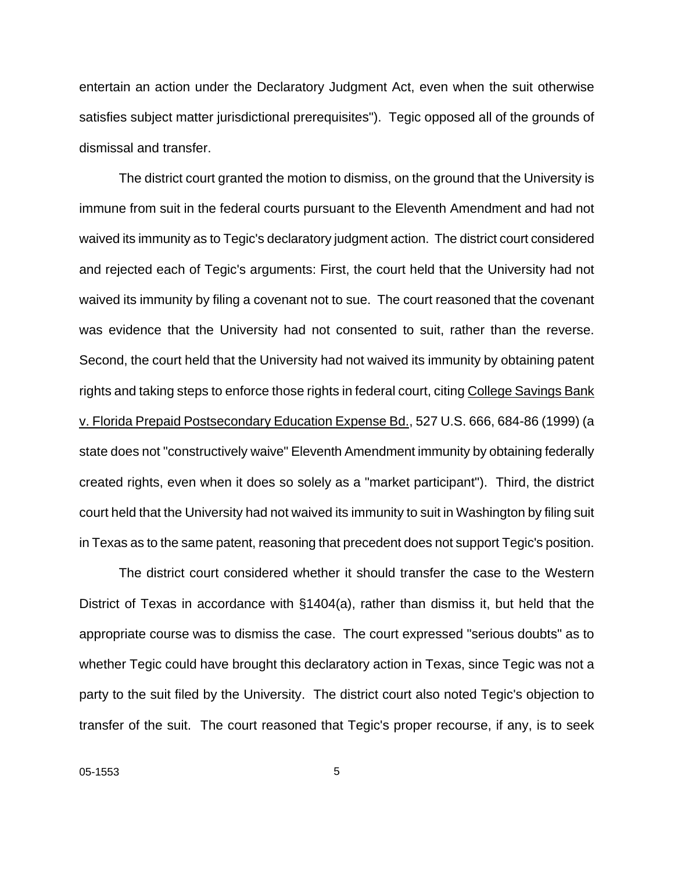entertain an action under the Declaratory Judgment Act, even when the suit otherwise satisfies subject matter jurisdictional prerequisites"). Tegic opposed all of the grounds of dismissal and transfer.

The district court granted the motion to dismiss, on the ground that the University is immune from suit in the federal courts pursuant to the Eleventh Amendment and had not waived its immunity as to Tegic's declaratory judgment action. The district court considered and rejected each of Tegic's arguments: First, the court held that the University had not waived its immunity by filing a covenant not to sue. The court reasoned that the covenant was evidence that the University had not consented to suit, rather than the reverse. Second, the court held that the University had not waived its immunity by obtaining patent rights and taking steps to enforce those rights in federal court, citing College Savings Bank v. Florida Prepaid Postsecondary Education Expense Bd., 527 U.S. 666, 684-86 (1999) (a state does not "constructively waive" Eleventh Amendment immunity by obtaining federally created rights, even when it does so solely as a "market participant"). Third, the district court held that the University had not waived its immunity to suit in Washington by filing suit in Texas as to the same patent, reasoning that precedent does not support Tegic's position.

The district court considered whether it should transfer the case to the Western District of Texas in accordance with §1404(a), rather than dismiss it, but held that the appropriate course was to dismiss the case. The court expressed "serious doubts" as to whether Tegic could have brought this declaratory action in Texas, since Tegic was not a party to the suit filed by the University. The district court also noted Tegic's objection to transfer of the suit. The court reasoned that Tegic's proper recourse, if any, is to seek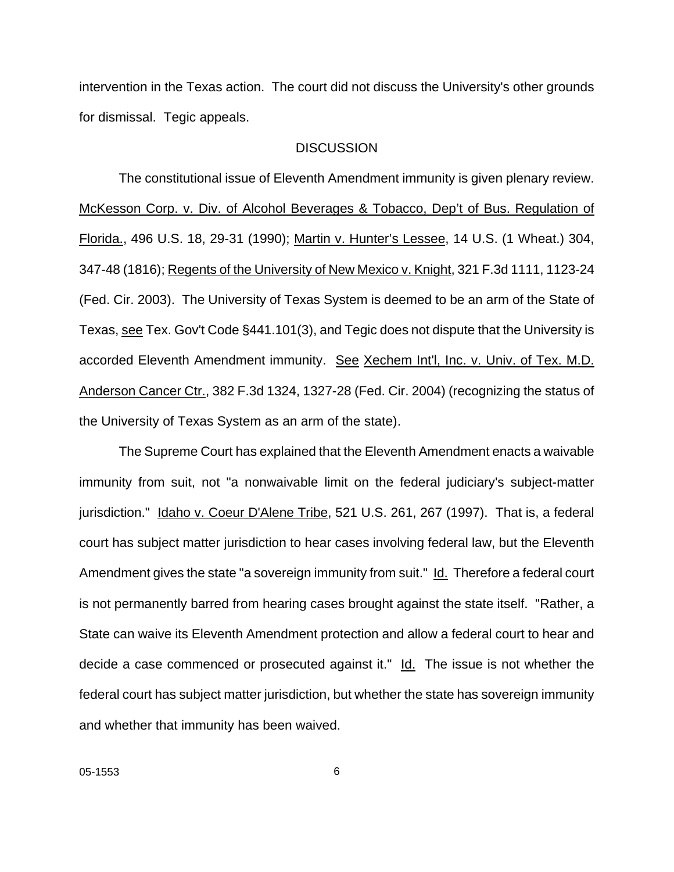intervention in the Texas action. The court did not discuss the University's other grounds for dismissal. Tegic appeals.

#### **DISCUSSION**

The constitutional issue of Eleventh Amendment immunity is given plenary review. McKesson Corp. v. Div. of Alcohol Beverages & Tobacco, Dep't of Bus. Regulation of Florida., 496 U.S. 18, 29-31 (1990); Martin v. Hunter's Lessee, 14 U.S. (1 Wheat.) 304, 347-48 (1816); Regents of the University of New Mexico v. Knight, 321 F.3d 1111, 1123-24 (Fed. Cir. 2003). The University of Texas System is deemed to be an arm of the State of Texas, see Tex. Gov't Code §441.101(3), and Tegic does not dispute that the University is accorded Eleventh Amendment immunity. See Xechem Int'l, Inc. v. Univ. of Tex. M.D. Anderson Cancer Ctr., 382 F.3d 1324, 1327-28 (Fed. Cir. 2004) (recognizing the status of the University of Texas System as an arm of the state).

The Supreme Court has explained that the Eleventh Amendment enacts a waivable immunity from suit, not "a nonwaivable limit on the federal judiciary's subject-matter jurisdiction." Idaho v. Coeur D'Alene Tribe, 521 U.S. 261, 267 (1997). That is, a federal court has subject matter jurisdiction to hear cases involving federal law, but the Eleventh Amendment gives the state "a sovereign immunity from suit." Id. Therefore a federal court is not permanently barred from hearing cases brought against the state itself. "Rather, a State can waive its Eleventh Amendment protection and allow a federal court to hear and decide a case commenced or prosecuted against it." Id. The issue is not whether the federal court has subject matter jurisdiction, but whether the state has sovereign immunity and whether that immunity has been waived.

6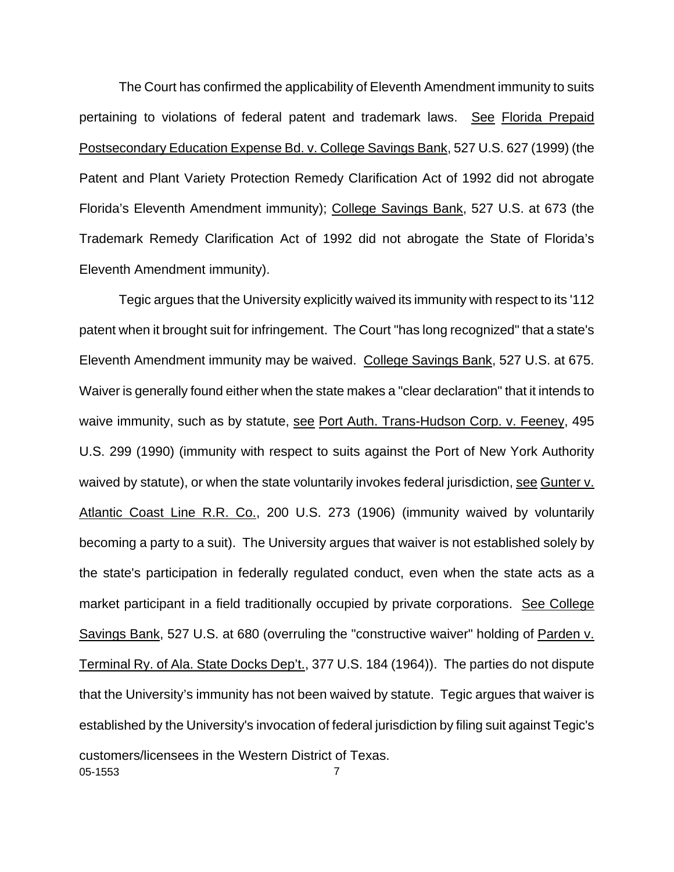The Court has confirmed the applicability of Eleventh Amendment immunity to suits pertaining to violations of federal patent and trademark laws. See Florida Prepaid Postsecondary Education Expense Bd. v. College Savings Bank, 527 U.S. 627 (1999) (the Patent and Plant Variety Protection Remedy Clarification Act of 1992 did not abrogate Florida's Eleventh Amendment immunity); College Savings Bank, 527 U.S. at 673 (the Trademark Remedy Clarification Act of 1992 did not abrogate the State of Florida's Eleventh Amendment immunity).

05-1553 7 Tegic argues that the University explicitly waived its immunity with respect to its '112 patent when it brought suit for infringement. The Court "has long recognized" that a state's Eleventh Amendment immunity may be waived. College Savings Bank, 527 U.S. at 675. Waiver is generally found either when the state makes a "clear declaration" that it intends to waive immunity, such as by statute, see Port Auth. Trans-Hudson Corp. v. Feeney, 495 U.S. 299 (1990) (immunity with respect to suits against the Port of New York Authority waived by statute), or when the state voluntarily invokes federal jurisdiction, see Gunter v. Atlantic Coast Line R.R. Co., 200 U.S. 273 (1906) (immunity waived by voluntarily becoming a party to a suit). The University argues that waiver is not established solely by the state's participation in federally regulated conduct, even when the state acts as a market participant in a field traditionally occupied by private corporations. See College Savings Bank, 527 U.S. at 680 (overruling the "constructive waiver" holding of Parden v. Terminal Ry. of Ala. State Docks Dep't., 377 U.S. 184 (1964)). The parties do not dispute that the University's immunity has not been waived by statute. Tegic argues that waiver is established by the University's invocation of federal jurisdiction by filing suit against Tegic's customers/licensees in the Western District of Texas.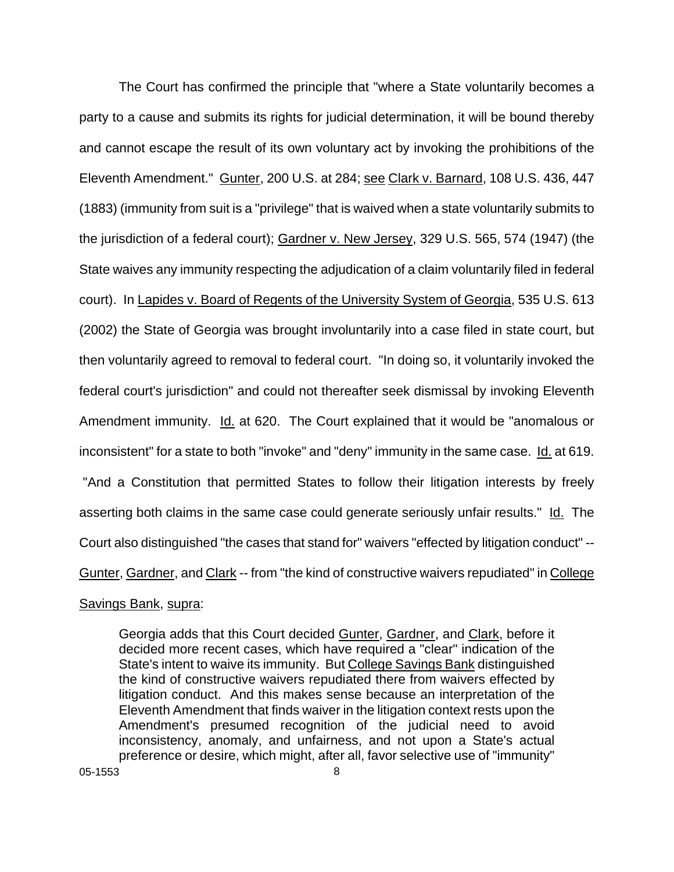The Court has confirmed the principle that "where a State voluntarily becomes a party to a cause and submits its rights for judicial determination, it will be bound thereby and cannot escape the result of its own voluntary act by invoking the prohibitions of the Eleventh Amendment." Gunter, 200 U.S. at 284; see Clark v. Barnard, 108 U.S. 436, 447 (1883) (immunity from suit is a "privilege" that is waived when a state voluntarily submits to the jurisdiction of a federal court); Gardner v. New Jersey, 329 U.S. 565, 574 (1947) (the State waives any immunity respecting the adjudication of a claim voluntarily filed in federal court). In Lapides v. Board of Regents of the University System of Georgia, 535 U.S. 613 (2002) the State of Georgia was brought involuntarily into a case filed in state court, but then voluntarily agreed to removal to federal court. "In doing so, it voluntarily invoked the federal court's jurisdiction" and could not thereafter seek dismissal by invoking Eleventh Amendment immunity. Id. at 620. The Court explained that it would be "anomalous or inconsistent" for a state to both "invoke" and "deny" immunity in the same case. Id. at 619. "And a Constitution that permitted States to follow their litigation interests by freely asserting both claims in the same case could generate seriously unfair results." Id. The Court also distinguished "the cases that stand for" waivers "effected by litigation conduct" -- Gunter, Gardner, and Clark -- from "the kind of constructive waivers repudiated" in College

#### Savings Bank, supra:

Georgia adds that this Court decided Gunter, Gardner, and Clark, before it decided more recent cases, which have required a "clear" indication of the State's intent to waive its immunity. But College Savings Bank distinguished the kind of constructive waivers repudiated there from waivers effected by litigation conduct. And this makes sense because an interpretation of the Eleventh Amendment that finds waiver in the litigation context rests upon the Amendment's presumed recognition of the judicial need to avoid inconsistency, anomaly, and unfairness, and not upon a State's actual preference or desire, which might, after all, favor selective use of "immunity"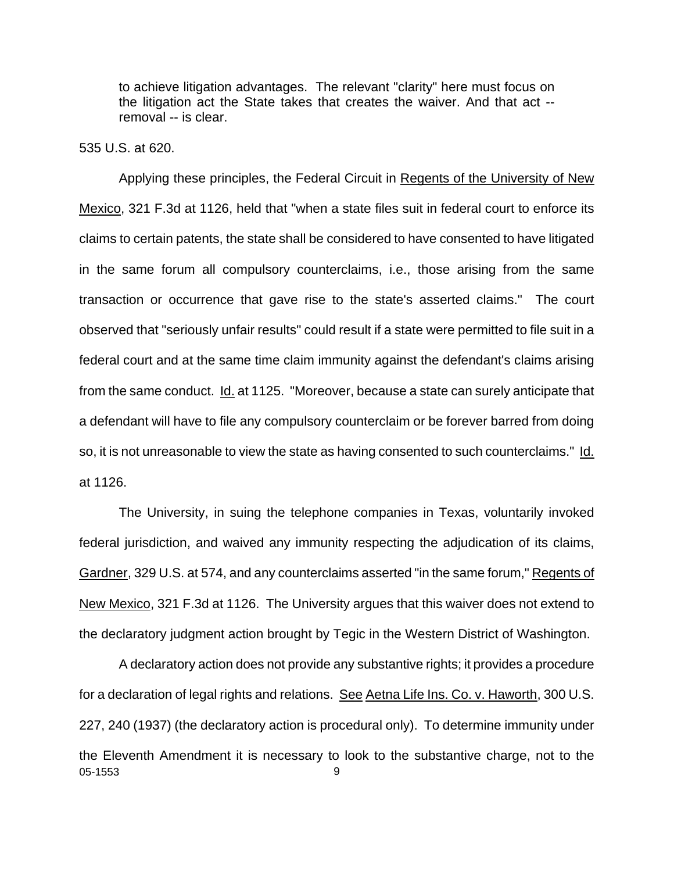to achieve litigation advantages. The relevant "clarity" here must focus on the litigation act the State takes that creates the waiver. And that act - removal -- is clear.

### 535 U.S. at 620.

Applying these principles, the Federal Circuit in Regents of the University of New Mexico, 321 F.3d at 1126, held that "when a state files suit in federal court to enforce its claims to certain patents, the state shall be considered to have consented to have litigated in the same forum all compulsory counterclaims, i.e., those arising from the same transaction or occurrence that gave rise to the state's asserted claims." The court observed that "seriously unfair results" could result if a state were permitted to file suit in a federal court and at the same time claim immunity against the defendant's claims arising from the same conduct. Id. at 1125. "Moreover, because a state can surely anticipate that a defendant will have to file any compulsory counterclaim or be forever barred from doing so, it is not unreasonable to view the state as having consented to such counterclaims." Id. at 1126.

The University, in suing the telephone companies in Texas, voluntarily invoked federal jurisdiction, and waived any immunity respecting the adjudication of its claims, Gardner, 329 U.S. at 574, and any counterclaims asserted "in the same forum," Regents of New Mexico, 321 F.3d at 1126. The University argues that this waiver does not extend to the declaratory judgment action brought by Tegic in the Western District of Washington.

05-1553 9 A declaratory action does not provide any substantive rights; it provides a procedure for a declaration of legal rights and relations. See Aetna Life Ins. Co. v. Haworth, 300 U.S. 227, 240 (1937) (the declaratory action is procedural only). To determine immunity under the Eleventh Amendment it is necessary to look to the substantive charge, not to the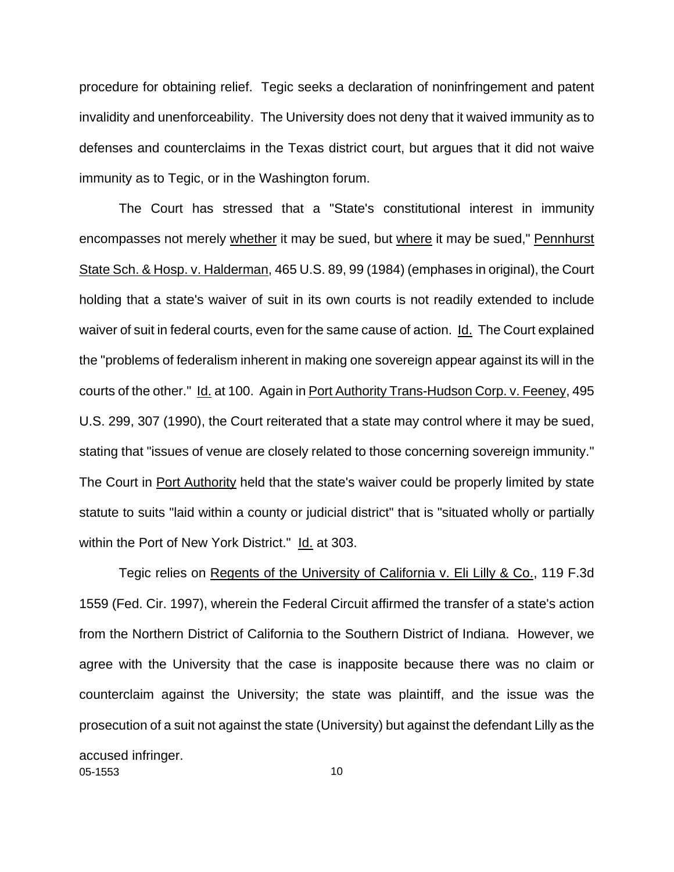procedure for obtaining relief. Tegic seeks a declaration of noninfringement and patent invalidity and unenforceability. The University does not deny that it waived immunity as to defenses and counterclaims in the Texas district court, but argues that it did not waive immunity as to Tegic, or in the Washington forum.

The Court has stressed that a "State's constitutional interest in immunity encompasses not merely whether it may be sued, but where it may be sued," Pennhurst State Sch. & Hosp. v. Halderman, 465 U.S. 89, 99 (1984) (emphases in original), the Court holding that a state's waiver of suit in its own courts is not readily extended to include waiver of suit in federal courts, even for the same cause of action. Id. The Court explained the "problems of federalism inherent in making one sovereign appear against its will in the courts of the other." Id. at 100. Again in Port Authority Trans-Hudson Corp. v. Feeney, 495 U.S. 299, 307 (1990), the Court reiterated that a state may control where it may be sued, stating that "issues of venue are closely related to those concerning sovereign immunity." The Court in Port Authority held that the state's waiver could be properly limited by state statute to suits "laid within a county or judicial district" that is "situated wholly or partially within the Port of New York District." Id. at 303.

05-1553 10 Tegic relies on Regents of the University of California v. Eli Lilly & Co., 119 F.3d 1559 (Fed. Cir. 1997), wherein the Federal Circuit affirmed the transfer of a state's action from the Northern District of California to the Southern District of Indiana. However, we agree with the University that the case is inapposite because there was no claim or counterclaim against the University; the state was plaintiff, and the issue was the prosecution of a suit not against the state (University) but against the defendant Lilly as the accused infringer.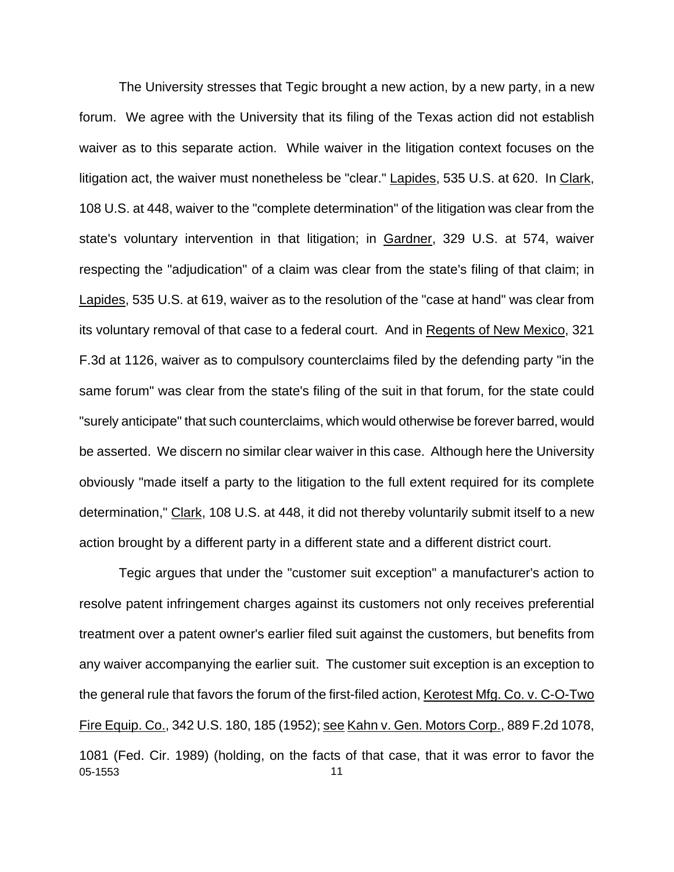The University stresses that Tegic brought a new action, by a new party, in a new forum. We agree with the University that its filing of the Texas action did not establish waiver as to this separate action. While waiver in the litigation context focuses on the litigation act, the waiver must nonetheless be "clear." Lapides, 535 U.S. at 620. In Clark, 108 U.S. at 448, waiver to the "complete determination" of the litigation was clear from the state's voluntary intervention in that litigation; in Gardner, 329 U.S. at 574, waiver respecting the "adjudication" of a claim was clear from the state's filing of that claim; in Lapides, 535 U.S. at 619, waiver as to the resolution of the "case at hand" was clear from its voluntary removal of that case to a federal court. And in Regents of New Mexico, 321 F.3d at 1126, waiver as to compulsory counterclaims filed by the defending party "in the same forum" was clear from the state's filing of the suit in that forum, for the state could "surely anticipate" that such counterclaims, which would otherwise be forever barred, would be asserted. We discern no similar clear waiver in this case. Although here the University obviously "made itself a party to the litigation to the full extent required for its complete determination," Clark, 108 U.S. at 448, it did not thereby voluntarily submit itself to a new action brought by a different party in a different state and a different district court.

05-1553 11 Tegic argues that under the "customer suit exception" a manufacturer's action to resolve patent infringement charges against its customers not only receives preferential treatment over a patent owner's earlier filed suit against the customers, but benefits from any waiver accompanying the earlier suit. The customer suit exception is an exception to the general rule that favors the forum of the first-filed action, Kerotest Mfg. Co. v. C-O-Two Fire Equip. Co., 342 U.S. 180, 185 (1952); see Kahn v. Gen. Motors Corp., 889 F.2d 1078, 1081 (Fed. Cir. 1989) (holding, on the facts of that case, that it was error to favor the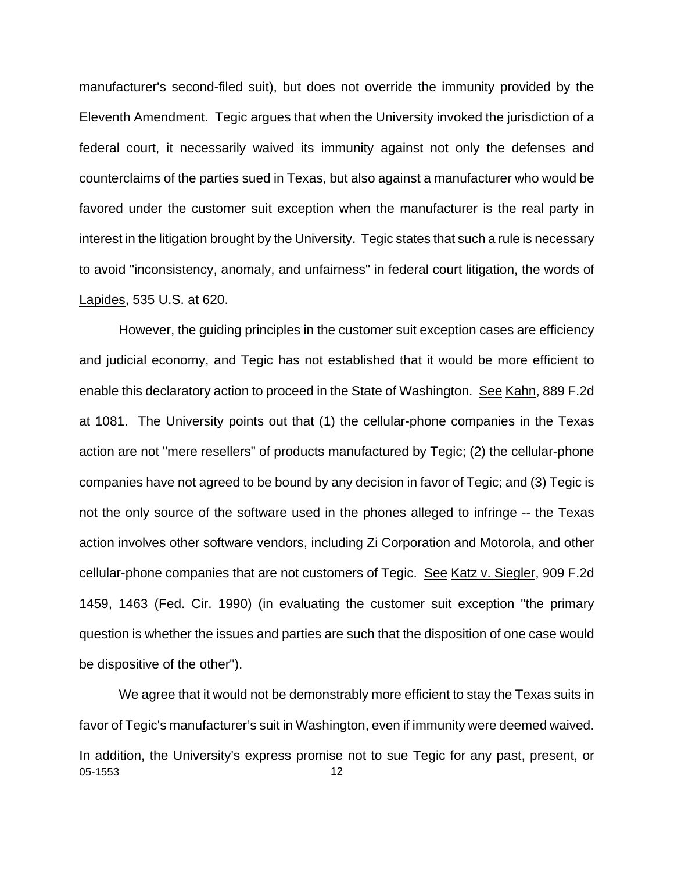manufacturer's second-filed suit), but does not override the immunity provided by the Eleventh Amendment. Tegic argues that when the University invoked the jurisdiction of a federal court, it necessarily waived its immunity against not only the defenses and counterclaims of the parties sued in Texas, but also against a manufacturer who would be favored under the customer suit exception when the manufacturer is the real party in interest in the litigation brought by the University. Tegic states that such a rule is necessary to avoid "inconsistency, anomaly, and unfairness" in federal court litigation, the words of Lapides, 535 U.S. at 620.

However, the guiding principles in the customer suit exception cases are efficiency and judicial economy, and Tegic has not established that it would be more efficient to enable this declaratory action to proceed in the State of Washington. See Kahn, 889 F.2d at 1081. The University points out that (1) the cellular-phone companies in the Texas action are not "mere resellers" of products manufactured by Tegic; (2) the cellular-phone companies have not agreed to be bound by any decision in favor of Tegic; and (3) Tegic is not the only source of the software used in the phones alleged to infringe -- the Texas action involves other software vendors, including Zi Corporation and Motorola, and other cellular-phone companies that are not customers of Tegic. See Katz v. Siegler, 909 F.2d 1459, 1463 (Fed. Cir. 1990) (in evaluating the customer suit exception "the primary question is whether the issues and parties are such that the disposition of one case would be dispositive of the other").

05-1553 12 We agree that it would not be demonstrably more efficient to stay the Texas suits in favor of Tegic's manufacturer's suit in Washington, even if immunity were deemed waived. In addition, the University's express promise not to sue Tegic for any past, present, or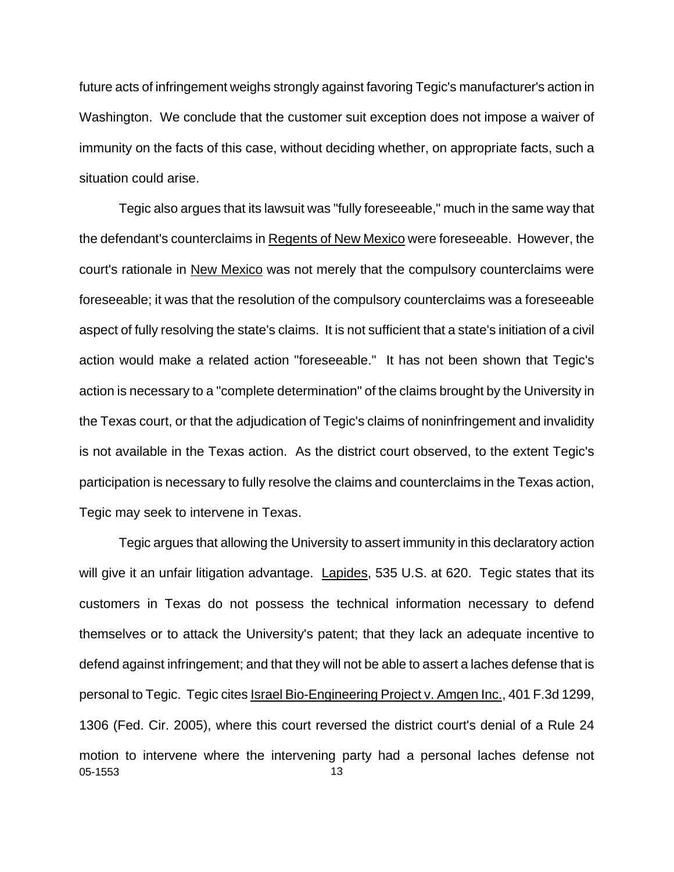future acts of infringement weighs strongly against favoring Tegic's manufacturer's action in Washington. We conclude that the customer suit exception does not impose a waiver of immunity on the facts of this case, without deciding whether, on appropriate facts, such a situation could arise.

Tegic also argues that its lawsuit was "fully foreseeable," much in the same way that the defendant's counterclaims in Regents of New Mexico were foreseeable. However, the court's rationale in New Mexico was not merely that the compulsory counterclaims were foreseeable; it was that the resolution of the compulsory counterclaims was a foreseeable aspect of fully resolving the state's claims. It is not sufficient that a state's initiation of a civil action would make a related action "foreseeable." It has not been shown that Tegic's action is necessary to a "complete determination" of the claims brought by the University in the Texas court, or that the adjudication of Tegic's claims of noninfringement and invalidity is not available in the Texas action. As the district court observed, to the extent Tegic's participation is necessary to fully resolve the claims and counterclaims in the Texas action, Tegic may seek to intervene in Texas.

05-1553 13 Tegic argues that allowing the University to assert immunity in this declaratory action will give it an unfair litigation advantage. Lapides, 535 U.S. at 620. Tegic states that its customers in Texas do not possess the technical information necessary to defend themselves or to attack the University's patent; that they lack an adequate incentive to defend against infringement; and that they will not be able to assert a laches defense that is personal to Tegic. Tegic cites Israel Bio-Engineering Project v. Amgen Inc., 401 F.3d 1299, 1306 (Fed. Cir. 2005), where this court reversed the district court's denial of a Rule 24 motion to intervene where the intervening party had a personal laches defense not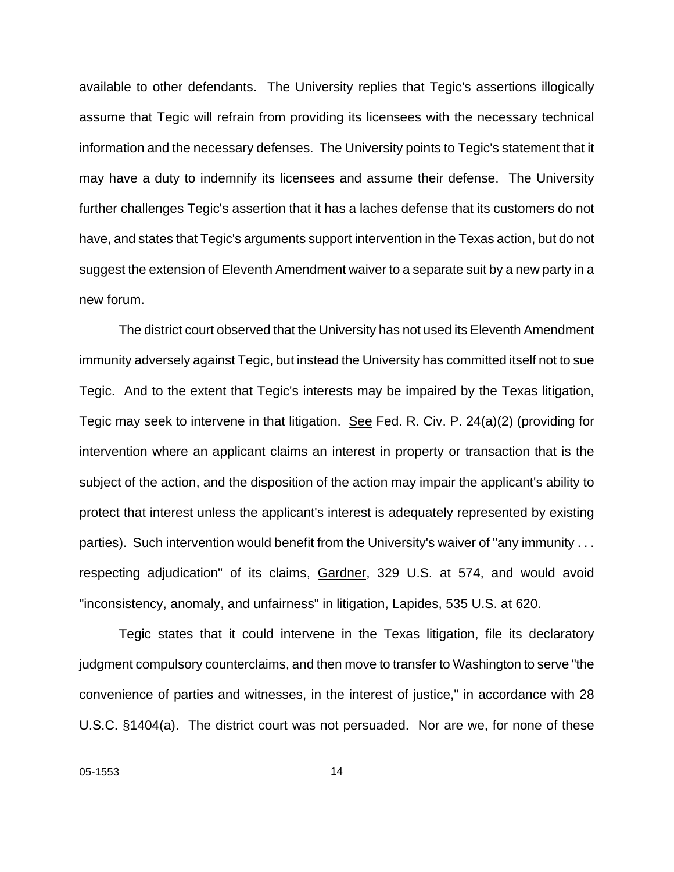available to other defendants. The University replies that Tegic's assertions illogically assume that Tegic will refrain from providing its licensees with the necessary technical information and the necessary defenses. The University points to Tegic's statement that it may have a duty to indemnify its licensees and assume their defense. The University further challenges Tegic's assertion that it has a laches defense that its customers do not have, and states that Tegic's arguments support intervention in the Texas action, but do not suggest the extension of Eleventh Amendment waiver to a separate suit by a new party in a new forum.

The district court observed that the University has not used its Eleventh Amendment immunity adversely against Tegic, but instead the University has committed itself not to sue Tegic. And to the extent that Tegic's interests may be impaired by the Texas litigation, Tegic may seek to intervene in that litigation. See Fed. R. Civ. P. 24(a)(2) (providing for intervention where an applicant claims an interest in property or transaction that is the subject of the action, and the disposition of the action may impair the applicant's ability to protect that interest unless the applicant's interest is adequately represented by existing parties). Such intervention would benefit from the University's waiver of "any immunity . . . respecting adjudication" of its claims, Gardner, 329 U.S. at 574, and would avoid "inconsistency, anomaly, and unfairness" in litigation, Lapides, 535 U.S. at 620.

Tegic states that it could intervene in the Texas litigation, file its declaratory judgment compulsory counterclaims, and then move to transfer to Washington to serve "the convenience of parties and witnesses, in the interest of justice," in accordance with 28 U.S.C. §1404(a). The district court was not persuaded. Nor are we, for none of these